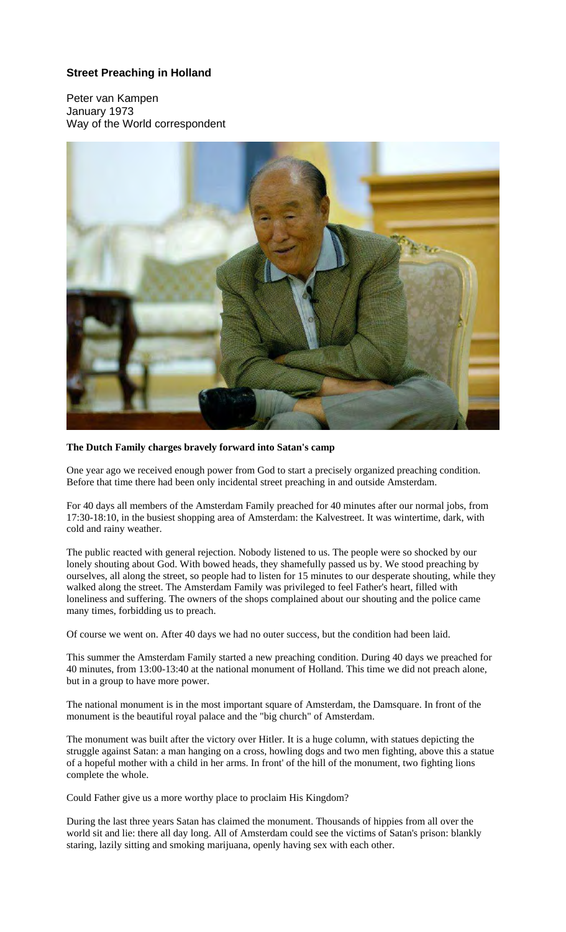## **Street Preaching in Holland**

Peter van Kampen January 1973 Way of the World correspondent



## **The Dutch Family charges bravely forward into Satan's camp**

One year ago we received enough power from God to start a precisely organized preaching condition. Before that time there had been only incidental street preaching in and outside Amsterdam.

For 40 days all members of the Amsterdam Family preached for 40 minutes after our normal jobs, from 17:30-18:10, in the busiest shopping area of Amsterdam: the Kalvestreet. It was wintertime, dark, with cold and rainy weather.

The public reacted with general rejection. Nobody listened to us. The people were so shocked by our lonely shouting about God. With bowed heads, they shamefully passed us by. We stood preaching by ourselves, all along the street, so people had to listen for 15 minutes to our desperate shouting, while they walked along the street. The Amsterdam Family was privileged to feel Father's heart, filled with loneliness and suffering. The owners of the shops complained about our shouting and the police came many times, forbidding us to preach.

Of course we went on. After 40 days we had no outer success, but the condition had been laid.

This summer the Amsterdam Family started a new preaching condition. During 40 days we preached for 40 minutes, from 13:00-13:40 at the national monument of Holland. This time we did not preach alone, but in a group to have more power.

The national monument is in the most important square of Amsterdam, the Damsquare. In front of the monument is the beautiful royal palace and the "big church" of Amsterdam.

The monument was built after the victory over Hitler. It is a huge column, with statues depicting the struggle against Satan: a man hanging on a cross, howling dogs and two men fighting, above this a statue of a hopeful mother with a child in her arms. In front' of the hill of the monument, two fighting lions complete the whole.

Could Father give us a more worthy place to proclaim His Kingdom?

During the last three years Satan has claimed the monument. Thousands of hippies from all over the world sit and lie: there all day long. All of Amsterdam could see the victims of Satan's prison: blankly staring, lazily sitting and smoking marijuana, openly having sex with each other.